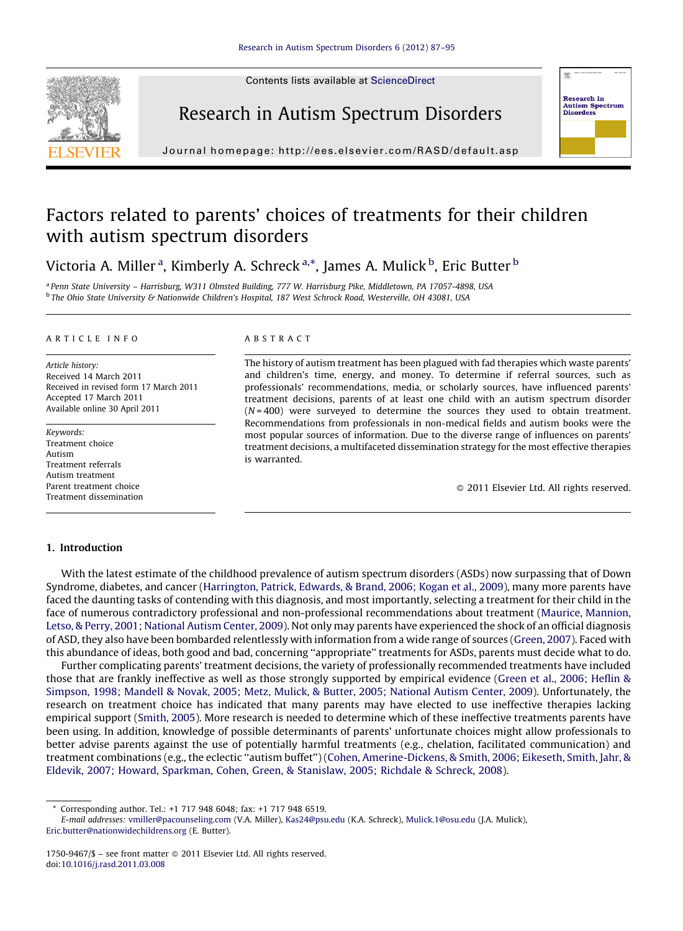Contents lists available at [ScienceDirect](http://www.sciencedirect.com/science/journal/17509467)







J ou rnal homepa ge: h ttp://ees.elsevier.com/RASD/default.asp

# Factors related to parents' choices of treatments for their children with autism spectrum disorders

Victoria A. Miller <sup>a</sup>, Kimberly A. Schreck <sup>a,\*</sup>, James A. Mulick <sup>b</sup>, Eric Butter <sup>b</sup>

<sup>a</sup> Penn State University – Harrisburg, W311 Olmsted Building, 777 W. Harrisburg Pike, Middletown, PA 17057-4898, USA <sup>b</sup> The Ohio State University & Nationwide Children's Hospital, 187 West Schrock Road, Westerville, OH 43081, USA

# A R T I C L E I N F O

Article history: Received 14 March 2011 Received in revised form 17 March 2011 Accepted 17 March 2011 Available online 30 April 2011

Keywords: Treatment choice Autism Treatment referrals Autism treatment Parent treatment choice Treatment dissemination

## A B S T R A C T

The history of autism treatment has been plagued with fad therapies which waste parents' and children's time, energy, and money. To determine if referral sources, such as professionals' recommendations, media, or scholarly sources, have influenced parents' treatment decisions, parents of at least one child with an autism spectrum disorder  $(N=400)$  were surveyed to determine the sources they used to obtain treatment. Recommendations from professionals in non-medical fields and autism books were the most popular sources of information. Due to the diverse range of influences on parents' treatment decisions, a multifaceted dissemination strategy for the most effective therapies is warranted.

- 2011 Elsevier Ltd. All rights reserved.

# 1. Introduction

With the latest estimate of the childhood prevalence of autism spectrum disorders (ASDs) now surpassing that of Down Syndrome, diabetes, and cancer [\(Harrington,](#page-8-0) Patrick, Edwards, & Brand, 2006; Kogan et al., 2009), many more parents have faced the daunting tasks of contending with this diagnosis, and most importantly, selecting a treatment for their child in the face of numerous contradictory professional and non-professional recommendations about treatment (Maurice, [Mannion,](#page-8-0) Letso, & Perry, 2001; [National](#page-8-0) Autism Center, 2009). Not only may parents have experienced the shock of an official diagnosis of ASD, they also have been bombarded relentlessly with information from a wide range of sources ([Green,](#page-8-0) 2007). Faced with this abundance of ideas, both good and bad, concerning ''appropriate'' treatments for ASDs, parents must decide what to do.

Further complicating parents' treatment decisions, the variety of professionally recommended treatments have included those that are frankly ineffective as well as those strongly supported by empirical evidence (Green et al., 2006; [Heflin](#page-8-0) & [Simpson,](#page-8-0) 1998; Mandell & Novak, 2005; Metz, Mulick, & Butter, 2005; National Autism Center, 2009). Unfortunately, the research on treatment choice has indicated that many parents may have elected to use ineffective therapies lacking empirical support [\(Smith,](#page-8-0) 2005). More research is needed to determine which of these ineffective treatments parents have been using. In addition, knowledge of possible determinants of parents' unfortunate choices might allow professionals to better advise parents against the use of potentially harmful treatments (e.g., chelation, facilitated communication) and treatment combinations (e.g., the eclectic ''autism buffet'') (Cohen, [Amerine-Dickens,](#page-8-0) & Smith, 2006; Eikeseth, Smith, Jahr, & Eldevik, 2007; Howard, [Sparkman,](#page-8-0) Cohen, Green, & Stanislaw, 2005; Richdale & Schreck, 2008).

<sup>\*</sup> Corresponding author. Tel.: +1 717 948 6048; fax: +1 717 948 6519.

E-mail addresses: [vmiller@pacounseling.com](mailto:vmiller@pacounseling.com) (V.A. Miller), [Kas24@psu.edu](mailto:Kas24@psu.edu) (K.A. Schreck), [Mulick.1@osu.edu](mailto:Mulick.1@osu.edu) (J.A. Mulick),

[Eric.butter@nationwidechildrens.org](mailto:Eric.butter@nationwidechildrens.org) (E. Butter).

<sup>1750-9467/\$ –</sup> see front matter © 2011 Elsevier Ltd. All rights reserved. doi:[10.1016/j.rasd.2011.03.008](http://dx.doi.org/10.1016/j.rasd.2011.03.008)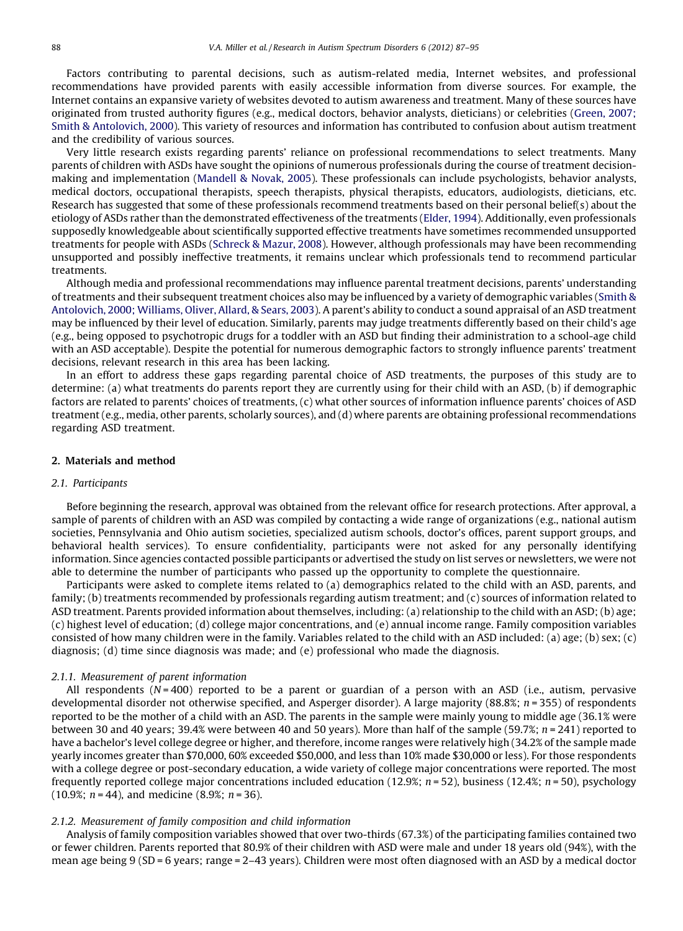Factors contributing to parental decisions, such as autism-related media, Internet websites, and professional recommendations have provided parents with easily accessible information from diverse sources. For example, the Internet contains an expansive variety of websites devoted to autism awareness and treatment. Many of these sources have originated from trusted authority figures (e.g., medical doctors, behavior analysts, dieticians) or celebrities ([Green,](#page-8-0) 2007; Smith & [Antolovich,](#page-8-0) 2000). This variety of resources and information has contributed to confusion about autism treatment and the credibility of various sources.

Very little research exists regarding parents' reliance on professional recommendations to select treatments. Many parents of children with ASDs have sought the opinions of numerous professionals during the course of treatment decisionmaking and implementation [\(Mandell](#page-8-0) & Novak, 2005). These professionals can include psychologists, behavior analysts, medical doctors, occupational therapists, speech therapists, physical therapists, educators, audiologists, dieticians, etc. Research has suggested that some of these professionals recommend treatments based on their personal belief(s) about the etiology of ASDs rather than the demonstrated effectiveness of the treatments ([Elder,](#page-8-0) 1994). Additionally, even professionals supposedly knowledgeable about scientifically supported effective treatments have sometimes recommended unsupported treatments for people with ASDs ([Schreck](#page-8-0) & Mazur, 2008). However, although professionals may have been recommending unsupported and possibly ineffective treatments, it remains unclear which professionals tend to recommend particular treatments.

Although media and professional recommendations may influence parental treatment decisions, parents' understanding of treatments and their subsequent treatment choices also may be influenced by a variety of demographic variables [\(Smith](#page-8-0) & [Antolovich,](#page-8-0) 2000; Williams, Oliver, Allard, & Sears, 2003). A parent's ability to conduct a sound appraisal of an ASD treatment may be influenced by their level of education. Similarly, parents may judge treatments differently based on their child's age (e.g., being opposed to psychotropic drugs for a toddler with an ASD but finding their administration to a school-age child with an ASD acceptable). Despite the potential for numerous demographic factors to strongly influence parents' treatment decisions, relevant research in this area has been lacking.

In an effort to address these gaps regarding parental choice of ASD treatments, the purposes of this study are to determine: (a) what treatments do parents report they are currently using for their child with an ASD, (b) if demographic factors are related to parents' choices of treatments, (c) what other sources of information influence parents' choices of ASD treatment (e.g., media, other parents, scholarly sources), and (d) where parents are obtaining professional recommendations regarding ASD treatment.

# 2. Materials and method

#### 2.1. Participants

Before beginning the research, approval was obtained from the relevant office for research protections. After approval, a sample of parents of children with an ASD was compiled by contacting a wide range of organizations (e.g., national autism societies, Pennsylvania and Ohio autism societies, specialized autism schools, doctor's offices, parent support groups, and behavioral health services). To ensure confidentiality, participants were not asked for any personally identifying information. Since agencies contacted possible participants or advertised the study on list serves or newsletters, we were not able to determine the number of participants who passed up the opportunity to complete the questionnaire.

Participants were asked to complete items related to (a) demographics related to the child with an ASD, parents, and family; (b) treatments recommended by professionals regarding autism treatment; and (c) sources of information related to ASD treatment. Parents provided information about themselves, including: (a) relationship to the child with an ASD; (b) age; (c) highest level of education; (d) college major concentrations, and (e) annual income range. Family composition variables consisted of how many children were in the family. Variables related to the child with an ASD included: (a) age; (b) sex; (c) diagnosis; (d) time since diagnosis was made; and (e) professional who made the diagnosis.

# 2.1.1. Measurement of parent information

All respondents ( $N = 400$ ) reported to be a parent or guardian of a person with an ASD (i.e., autism, pervasive developmental disorder not otherwise specified, and Asperger disorder). A large majority (88.8%;  $n = 355$ ) of respondents reported to be the mother of a child with an ASD. The parents in the sample were mainly young to middle age (36.1% were between 30 and 40 years; 39.4% were between 40 and 50 years). More than half of the sample (59.7%;  $n = 241$ ) reported to have a bachelor's level college degree or higher, and therefore, income ranges were relatively high (34.2% of the sample made yearly incomes greater than \$70,000, 60% exceeded \$50,000, and less than 10% made \$30,000 or less). For those respondents with a college degree or post-secondary education, a wide variety of college major concentrations were reported. The most frequently reported college major concentrations included education (12.9%;  $n = 52$ ), business (12.4%;  $n = 50$ ), psychology (10.9%;  $n = 44$ ), and medicine (8.9%;  $n = 36$ ).

# 2.1.2. Measurement of family composition and child information

Analysis of family composition variables showed that over two-thirds (67.3%) of the participating families contained two or fewer children. Parents reported that 80.9% of their children with ASD were male and under 18 years old (94%), with the mean age being 9 (SD = 6 years; range = 2–43 years). Children were most often diagnosed with an ASD by a medical doctor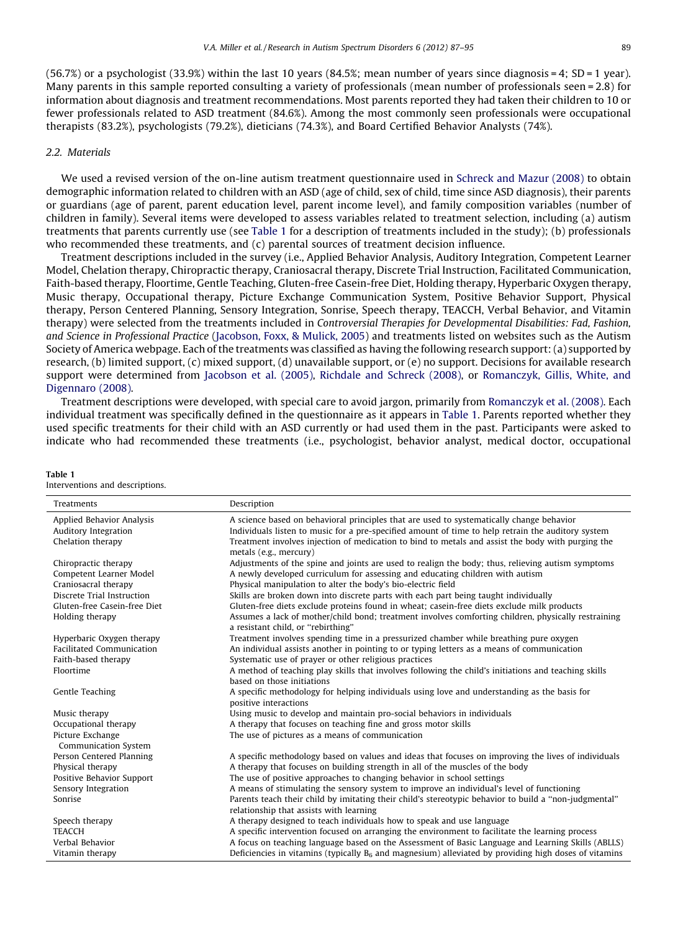$(56.7%)$  or a psychologist  $(33.9%)$  within the last 10 years  $(84.5%)$ ; mean number of years since diagnosis = 4; SD = 1 year). Many parents in this sample reported consulting a variety of professionals (mean number of professionals seen = 2.8) for information about diagnosis and treatment recommendations. Most parents reported they had taken their children to 10 or fewer professionals related to ASD treatment (84.6%). Among the most commonly seen professionals were occupational therapists (83.2%), psychologists (79.2%), dieticians (74.3%), and Board Certified Behavior Analysts (74%).

# 2.2. Materials

Table 1

We used a revised version of the on-line autism treatment questionnaire used in [Schreck](#page-8-0) and Mazur (2008) to obtain demographic information related to children with an ASD (age of child, sex of child, time since ASD diagnosis), their parents or guardians (age of parent, parent education level, parent income level), and family composition variables (number of children in family). Several items were developed to assess variables related to treatment selection, including (a) autism treatments that parents currently use (see Table 1 for a description of treatments included in the study); (b) professionals who recommended these treatments, and (c) parental sources of treatment decision influence.

Treatment descriptions included in the survey (i.e., Applied Behavior Analysis, Auditory Integration, Competent Learner Model, Chelation therapy, Chiropractic therapy, Craniosacral therapy, Discrete Trial Instruction, Facilitated Communication, Faith-based therapy, Floortime, Gentle Teaching, Gluten-free Casein-free Diet, Holding therapy, Hyperbaric Oxygen therapy, Music therapy, Occupational therapy, Picture Exchange Communication System, Positive Behavior Support, Physical therapy, Person Centered Planning, Sensory Integration, Sonrise, Speech therapy, TEACCH, Verbal Behavior, and Vitamin therapy) were selected from the treatments included in Controversial Therapies for Developmental Disabilities: Fad, Fashion, and Science in Professional Practice [\(Jacobson,](#page-8-0) Foxx, & Mulick, 2005) and treatments listed on websites such as the Autism Society of America webpage. Each of the treatments was classified as having the following research support: (a) supported by research, (b) limited support,  $(c)$  mixed support,  $(d)$  unavailable support, or  $(e)$  no support. Decisions for available research support were determined from [Jacobson](#page-8-0) et al. (2005), [Richdale](#page-8-0) and Schreck (2008), or [Romanczyk,](#page-8-0) Gillis, White, and [Digennaro](#page-8-0) (2008).

Treatment descriptions were developed, with special care to avoid jargon, primarily from [Romanczyk](#page-8-0) et al. (2008). Each individual treatment was specifically defined in the questionnaire as it appears in Table 1. Parents reported whether they used specific treatments for their child with an ASD currently or had used them in the past. Participants were asked to indicate who had recommended these treatments (i.e., psychologist, behavior analyst, medical doctor, occupational

| Interventions and descriptions. |                                                                                                                                           |
|---------------------------------|-------------------------------------------------------------------------------------------------------------------------------------------|
| <b>Treatments</b>               | Description                                                                                                                               |
| Applied Behavior Analysis       | A science based on behavioral principles that are used to systematically change behavior                                                  |
| Auditory Integration            | Individuals listen to music for a pre-specified amount of time to help retrain the auditory system                                        |
| Chelation therapy               | Treatment involves injection of medication to bind to metals and assist the body with purging the<br>metals (e.g., mercury)               |
| Chiropractic therapy            | Adjustments of the spine and joints are used to realign the body; thus, relieving autism symptoms                                         |
| Competent Learner Model         | A newly developed curriculum for assessing and educating children with autism                                                             |
| Craniosacral therapy            | Physical manipulation to alter the body's bio-electric field                                                                              |
| Discrete Trial Instruction      | Skills are broken down into discrete parts with each part being taught individually                                                       |
| Gluten-free Casein-free Diet    | Gluten-free diets exclude proteins found in wheat; casein-free diets exclude milk products                                                |
| Holding therapy                 | Assumes a lack of mother/child bond; treatment involves comforting children, physically restraining<br>a resistant child, or "rebirthing" |
| Hyperbaric Oxygen therapy       | Treatment involves spending time in a pressurized chamber while breathing pure oxygen                                                     |
| Facilitated Communication       | An individual assists another in pointing to or typing letters as a means of communication                                                |
| Faith-based therapy             | Systematic use of prayer or other religious practices                                                                                     |
| Floortime                       | A method of teaching play skills that involves following the child's initiations and teaching skills<br>based on those initiations        |
| <b>Gentle Teaching</b>          | A specific methodology for helping individuals using love and understanding as the basis for<br>positive interactions                     |
| Music therapy                   | Using music to develop and maintain pro-social behaviors in individuals                                                                   |
| Occupational therapy            | A therapy that focuses on teaching fine and gross motor skills                                                                            |
| Picture Exchange                | The use of pictures as a means of communication                                                                                           |
| Communication System            |                                                                                                                                           |
| Person Centered Planning        | A specific methodology based on values and ideas that focuses on improving the lives of individuals                                       |
| Physical therapy                | A therapy that focuses on building strength in all of the muscles of the body                                                             |
| Positive Behavior Support       | The use of positive approaches to changing behavior in school settings                                                                    |
| Sensory Integration             | A means of stimulating the sensory system to improve an individual's level of functioning                                                 |
| Sonrise                         | Parents teach their child by imitating their child's stereotypic behavior to build a "non-judgmental"                                     |
|                                 | relationship that assists with learning                                                                                                   |
| Speech therapy                  | A therapy designed to teach individuals how to speak and use language                                                                     |
| <b>TEACCH</b>                   | A specific intervention focused on arranging the environment to facilitate the learning process                                           |
| Verbal Behavior                 | A focus on teaching language based on the Assessment of Basic Language and Learning Skills (ABLLS)                                        |
| Vitamin therapy                 | Deficiencies in vitamins (typically $B_6$ and magnesium) alleviated by providing high doses of vitamins                                   |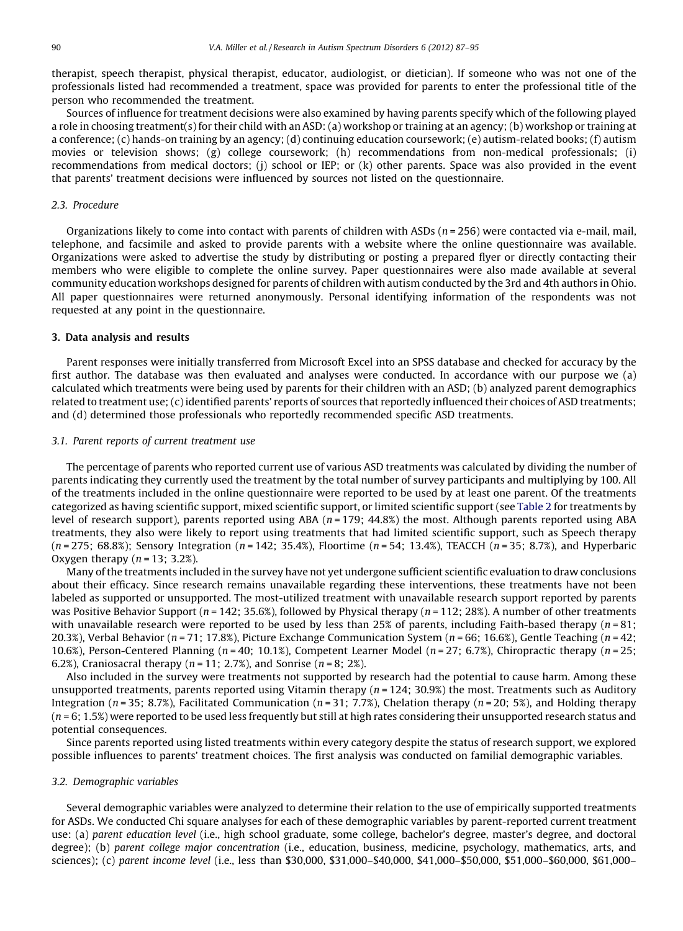therapist, speech therapist, physical therapist, educator, audiologist, or dietician). If someone who was not one of the professionals listed had recommended a treatment, space was provided for parents to enter the professional title of the person who recommended the treatment.

Sources of influence for treatment decisions were also examined by having parents specify which of the following played a role in choosing treatment(s) for their child with an ASD: (a) workshop or training at an agency; (b) workshop or training at a conference; (c) hands-on training by an agency; (d) continuing education coursework; (e) autism-related books; (f) autism movies or television shows; (g) college coursework; (h) recommendations from non-medical professionals; (i) recommendations from medical doctors; (j) school or IEP; or (k) other parents. Space was also provided in the event that parents' treatment decisions were influenced by sources not listed on the questionnaire.

#### 2.3. Procedure

Organizations likely to come into contact with parents of children with ASDs ( $n = 256$ ) were contacted via e-mail, mail, telephone, and facsimile and asked to provide parents with a website where the online questionnaire was available. Organizations were asked to advertise the study by distributing or posting a prepared flyer or directly contacting their members who were eligible to complete the online survey. Paper questionnaires were also made available at several community education workshops designed for parents of children with autism conducted by the 3rd and 4th authors in Ohio. All paper questionnaires were returned anonymously. Personal identifying information of the respondents was not requested at any point in the questionnaire.

#### 3. Data analysis and results

Parent responses were initially transferred from Microsoft Excel into an SPSS database and checked for accuracy by the first author. The database was then evaluated and analyses were conducted. In accordance with our purpose we (a) calculated which treatments were being used by parents for their children with an ASD; (b) analyzed parent demographics related to treatment use; (c) identified parents' reports of sources that reportedly influenced their choices of ASD treatments; and (d) determined those professionals who reportedly recommended specific ASD treatments.

#### 3.1. Parent reports of current treatment use

The percentage of parents who reported current use of various ASD treatments was calculated by dividing the number of parents indicating they currently used the treatment by the total number of survey participants and multiplying by 100. All of the treatments included in the online questionnaire were reported to be used by at least one parent. Of the treatments categorized as having scientific support, mixed scientific support, or limited scientific support (see [Table](#page-4-0) 2 for treatments by level of research support), parents reported using ABA ( $n = 179$ ; 44.8%) the most. Although parents reported using ABA treatments, they also were likely to report using treatments that had limited scientific support, such as Speech therapy  $(n = 275; 68.8\%)$ ; Sensory Integration  $(n = 142; 35.4\%)$ , Floortime  $(n = 54; 13.4\%)$ , TEACCH  $(n = 35; 8.7\%)$ , and Hyperbaric Oxygen therapy  $(n = 13; 3.2\%)$ .

Many ofthe treatments included in the survey have not yet undergone sufficient scientific evaluation to draw conclusions about their efficacy. Since research remains unavailable regarding these interventions, these treatments have not been labeled as supported or unsupported. The most-utilized treatment with unavailable research support reported by parents was Positive Behavior Support ( $n = 142$ ; 35.6%), followed by Physical therapy ( $n = 112$ ; 28%). A number of other treatments with unavailable research were reported to be used by less than 25% of parents, including Faith-based therapy ( $n = 81$ ; 20.3%), Verbal Behavior ( $n = 71$ ; 17.8%), Picture Exchange Communication System ( $n = 66$ ; 16.6%), Gentle Teaching ( $n = 42$ ; 10.6%), Person-Centered Planning ( $n = 40$ ; 10.1%), Competent Learner Model ( $n = 27$ ; 6.7%), Chiropractic therapy ( $n = 25$ ; 6.2%), Craniosacral therapy ( $n = 11$ ; 2.7%), and Sonrise ( $n = 8$ ; 2%).

Also included in the survey were treatments not supported by research had the potential to cause harm. Among these unsupported treatments, parents reported using Vitamin therapy ( $n = 124$ ; 30.9%) the most. Treatments such as Auditory Integration ( $n = 35$ ; 8.7%), Facilitated Communication ( $n = 31$ ; 7.7%), Chelation therapy ( $n = 20$ ; 5%), and Holding therapy  $(n = 6; 1.5%)$  were reported to be used less frequently but still at high rates considering their unsupported research status and potential consequences.

Since parents reported using listed treatments within every category despite the status of research support, we explored possible influences to parents' treatment choices. The first analysis was conducted on familial demographic variables.

#### 3.2. Demographic variables

Several demographic variables were analyzed to determine their relation to the use of empirically supported treatments for ASDs. We conducted Chi square analyses for each of these demographic variables by parent-reported current treatment use: (a) parent education level (i.e., high school graduate, some college, bachelor's degree, master's degree, and doctoral degree); (b) parent college major concentration (i.e., education, business, medicine, psychology, mathematics, arts, and sciences); (c) parent income level (i.e., less than \$30,000, \$31,000–\$40,000, \$41,000–\$50,000, \$51,000–\$60,000, \$61,000–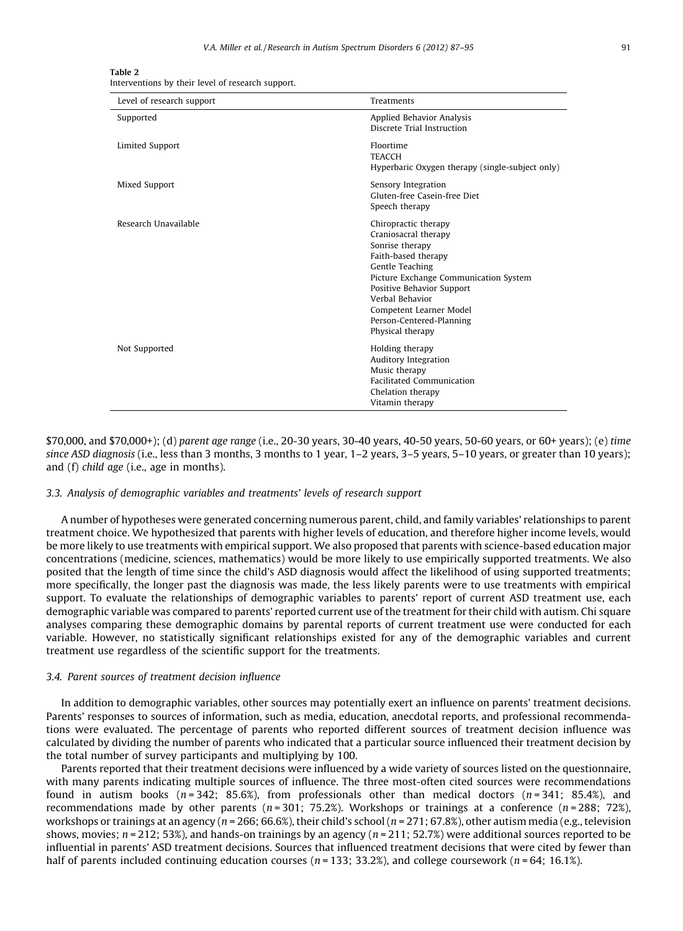<span id="page-4-0"></span>

| Table 2                                           |  |  |  |
|---------------------------------------------------|--|--|--|
| Interventions by their level of research support. |  |  |  |

| Level of research support | Treatments                                                                                                                                                                                                                                                                    |
|---------------------------|-------------------------------------------------------------------------------------------------------------------------------------------------------------------------------------------------------------------------------------------------------------------------------|
| Supported                 | Applied Behavior Analysis<br>Discrete Trial Instruction                                                                                                                                                                                                                       |
| Limited Support           | Floortime<br><b>TEACCH</b><br>Hyperbaric Oxygen therapy (single-subject only)                                                                                                                                                                                                 |
| Mixed Support             | Sensory Integration<br>Gluten-free Casein-free Diet<br>Speech therapy                                                                                                                                                                                                         |
| Research Unavailable      | Chiropractic therapy<br>Craniosacral therapy<br>Sonrise therapy<br>Faith-based therapy<br>Gentle Teaching<br>Picture Exchange Communication System<br>Positive Behavior Support<br>Verbal Behavior<br>Competent Learner Model<br>Person-Centered-Planning<br>Physical therapy |
| Not Supported             | Holding therapy<br>Auditory Integration<br>Music therapy<br><b>Facilitated Communication</b><br>Chelation therapy<br>Vitamin therapy                                                                                                                                          |

\$70,000, and \$70,000+); (d) parent age range (i.e., 20-30 years, 30-40 years, 40-50 years, 50-60 years, or 60+ years); (e) time since ASD diagnosis (i.e., less than 3 months, 3 months to 1 year, 1–2 years, 3–5 years, 5–10 years, or greater than 10 years); and (f) child age (i.e., age in months).

#### 3.3. Analysis of demographic variables and treatments' levels of research support

A number of hypotheses were generated concerning numerous parent, child, and family variables' relationships to parent treatment choice. We hypothesized that parents with higher levels of education, and therefore higher income levels, would be more likely to use treatments with empirical support. We also proposed that parents with science-based education major concentrations (medicine, sciences, mathematics) would be more likely to use empirically supported treatments. We also posited that the length of time since the child's ASD diagnosis would affect the likelihood of using supported treatments; more specifically, the longer past the diagnosis was made, the less likely parents were to use treatments with empirical support. To evaluate the relationships of demographic variables to parents' report of current ASD treatment use, each demographic variable was compared to parents' reported current use of the treatment for their child with autism. Chi square analyses comparing these demographic domains by parental reports of current treatment use were conducted for each variable. However, no statistically significant relationships existed for any of the demographic variables and current treatment use regardless of the scientific support for the treatments.

# 3.4. Parent sources of treatment decision influence

In addition to demographic variables, other sources may potentially exert an influence on parents' treatment decisions. Parents' responses to sources of information, such as media, education, anecdotal reports, and professional recommendations were evaluated. The percentage of parents who reported different sources of treatment decision influence was calculated by dividing the number of parents who indicated that a particular source influenced their treatment decision by the total number of survey participants and multiplying by 100.

Parents reported that their treatment decisions were influenced by a wide variety of sources listed on the questionnaire, with many parents indicating multiple sources of influence. The three most-often cited sources were recommendations found in autism books  $(n=342; 85.6\%)$ , from professionals other than medical doctors  $(n=341; 85.4\%)$ , and recommendations made by other parents ( $n = 301$ ; 75.2%). Workshops or trainings at a conference ( $n = 288$ ; 72%), workshops or trainings at an agency ( $n = 266$ ; 66.6%), their child's school ( $n = 271$ ; 67.8%), other autism media (e.g., television shows, movies;  $n = 212$ ; 53%), and hands-on trainings by an agency  $(n = 211; 52.7%)$  were additional sources reported to be influential in parents' ASD treatment decisions. Sources that influenced treatment decisions that were cited by fewer than half of parents included continuing education courses ( $n = 133$ ; 33.2%), and college coursework ( $n = 64$ ; 16.1%).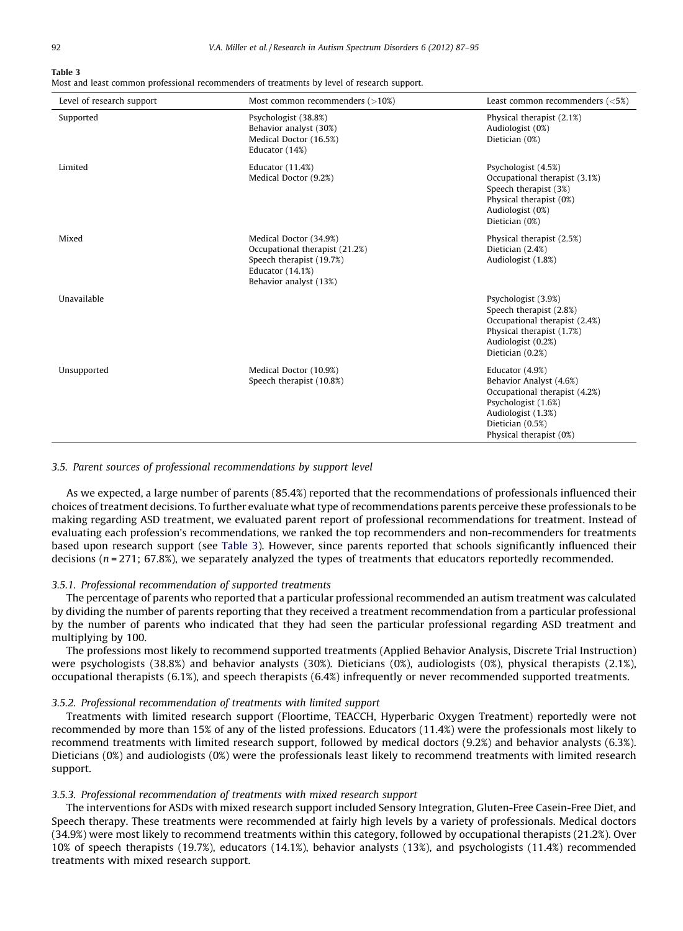#### Table 3

Most and least common professional recommenders of treatments by level of research support.

| Level of research support | Most common recommenders $($ >10%)                                                                                                 | Least common recommenders $(<5\%)$                                                                                                                                      |
|---------------------------|------------------------------------------------------------------------------------------------------------------------------------|-------------------------------------------------------------------------------------------------------------------------------------------------------------------------|
| Supported                 | Psychologist (38.8%)<br>Behavior analyst (30%)<br>Medical Doctor (16.5%)<br>Educator (14%)                                         | Physical therapist (2.1%)<br>Audiologist (0%)<br>Dietician (0%)                                                                                                         |
| Limited                   | Educator (11.4%)<br>Medical Doctor (9.2%)                                                                                          | Psychologist (4.5%)<br>Occupational therapist (3.1%)<br>Speech therapist (3%)<br>Physical therapist (0%)<br>Audiologist (0%)<br>Dietician (0%)                          |
| Mixed                     | Medical Doctor (34.9%)<br>Occupational therapist (21.2%)<br>Speech therapist (19.7%)<br>Educator (14.1%)<br>Behavior analyst (13%) | Physical therapist (2.5%)<br>Dietician (2.4%)<br>Audiologist (1.8%)                                                                                                     |
| Unavailable               |                                                                                                                                    | Psychologist (3.9%)<br>Speech therapist (2.8%)<br>Occupational therapist (2.4%)<br>Physical therapist (1.7%)<br>Audiologist (0.2%)<br>Dietician (0.2%)                  |
| Unsupported               | Medical Doctor (10.9%)<br>Speech therapist (10.8%)                                                                                 | Educator (4.9%)<br>Behavior Analyst (4.6%)<br>Occupational therapist (4.2%)<br>Psychologist (1.6%)<br>Audiologist (1.3%)<br>Dietician (0.5%)<br>Physical therapist (0%) |

### 3.5. Parent sources of professional recommendations by support level

As we expected, a large number of parents (85.4%) reported that the recommendations of professionals influenced their choices of treatment decisions. To further evaluate what type of recommendations parents perceive these professionals to be making regarding ASD treatment, we evaluated parent report of professional recommendations for treatment. Instead of evaluating each profession's recommendations, we ranked the top recommenders and non-recommenders for treatments based upon research support (see Table 3). However, since parents reported that schools significantly influenced their decisions ( $n = 271$ ; 67.8%), we separately analyzed the types of treatments that educators reportedly recommended.

#### 3.5.1. Professional recommendation of supported treatments

The percentage of parents who reported that a particular professional recommended an autism treatment was calculated by dividing the number of parents reporting that they received a treatment recommendation from a particular professional by the number of parents who indicated that they had seen the particular professional regarding ASD treatment and multiplying by 100.

The professions most likely to recommend supported treatments (Applied Behavior Analysis, Discrete Trial Instruction) were psychologists (38.8%) and behavior analysts (30%). Dieticians (0%), audiologists (0%), physical therapists (2.1%), occupational therapists (6.1%), and speech therapists (6.4%) infrequently or never recommended supported treatments.

## 3.5.2. Professional recommendation of treatments with limited support

Treatments with limited research support (Floortime, TEACCH, Hyperbaric Oxygen Treatment) reportedly were not recommended by more than 15% of any of the listed professions. Educators (11.4%) were the professionals most likely to recommend treatments with limited research support, followed by medical doctors (9.2%) and behavior analysts (6.3%). Dieticians (0%) and audiologists (0%) were the professionals least likely to recommend treatments with limited research support.

# 3.5.3. Professional recommendation of treatments with mixed research support

The interventions for ASDs with mixed research support included Sensory Integration, Gluten-Free Casein-Free Diet, and Speech therapy. These treatments were recommended at fairly high levels by a variety of professionals. Medical doctors (34.9%) were most likely to recommend treatments within this category, followed by occupational therapists (21.2%). Over 10% of speech therapists (19.7%), educators (14.1%), behavior analysts (13%), and psychologists (11.4%) recommended treatments with mixed research support.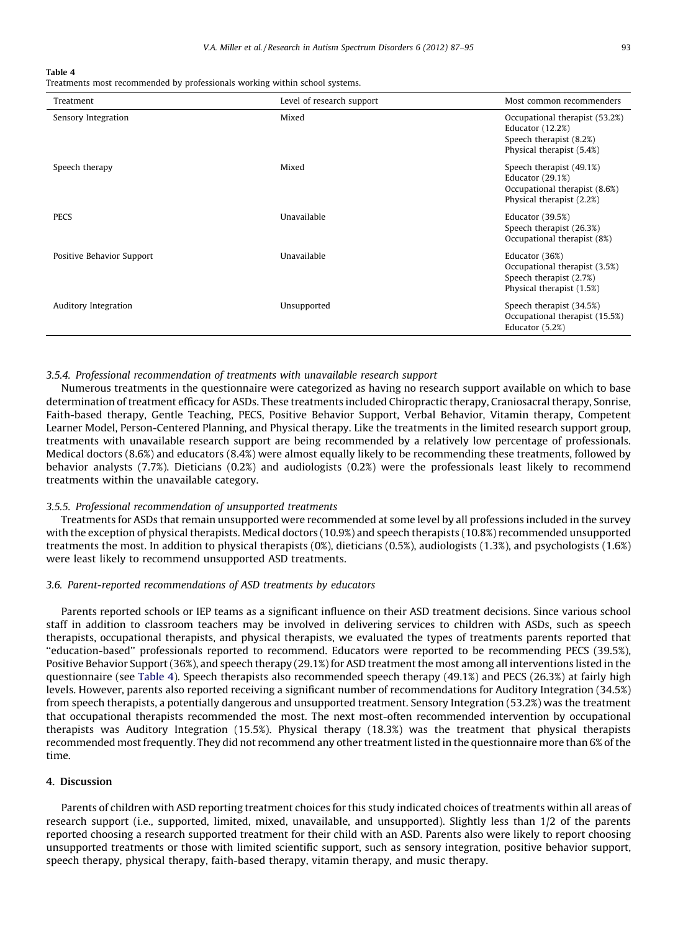#### Table 4

Treatments most recommended by professionals working within school systems.

| Treatment                 | Level of research support | Most common recommenders                                                                                          |
|---------------------------|---------------------------|-------------------------------------------------------------------------------------------------------------------|
| Sensory Integration       | Mixed                     | Occupational therapist (53.2%)<br><b>Educator</b> (12.2%)<br>Speech therapist (8.2%)<br>Physical therapist (5.4%) |
| Speech therapy            | Mixed                     | Speech therapist (49.1%)<br><b>Educator</b> (29.1%)<br>Occupational therapist (8.6%)<br>Physical therapist (2.2%) |
| <b>PECS</b>               | Unavailable               | Educator (39.5%)<br>Speech therapist (26.3%)<br>Occupational therapist (8%)                                       |
| Positive Behavior Support | Unavailable               | Educator (36%)<br>Occupational therapist (3.5%)<br>Speech therapist (2.7%)<br>Physical therapist (1.5%)           |
| Auditory Integration      | Unsupported               | Speech therapist (34.5%)<br>Occupational therapist (15.5%)<br>Educator (5.2%)                                     |

# 3.5.4. Professional recommendation of treatments with unavailable research support

Numerous treatments in the questionnaire were categorized as having no research support available on which to base determination of treatment efficacy for ASDs. These treatments included Chiropractic therapy, Craniosacral therapy, Sonrise, Faith-based therapy, Gentle Teaching, PECS, Positive Behavior Support, Verbal Behavior, Vitamin therapy, Competent Learner Model, Person-Centered Planning, and Physical therapy. Like the treatments in the limited research support group, treatments with unavailable research support are being recommended by a relatively low percentage of professionals. Medical doctors (8.6%) and educators (8.4%) were almost equally likely to be recommending these treatments, followed by behavior analysts (7.7%). Dieticians (0.2%) and audiologists (0.2%) were the professionals least likely to recommend treatments within the unavailable category.

# 3.5.5. Professional recommendation of unsupported treatments

Treatments for ASDs that remain unsupported were recommended at some level by all professions included in the survey with the exception of physical therapists. Medical doctors (10.9%) and speech therapists (10.8%) recommended unsupported treatments the most. In addition to physical therapists (0%), dieticians (0.5%), audiologists (1.3%), and psychologists (1.6%) were least likely to recommend unsupported ASD treatments.

# 3.6. Parent-reported recommendations of ASD treatments by educators

Parents reported schools or IEP teams as a significant influence on their ASD treatment decisions. Since various school staff in addition to classroom teachers may be involved in delivering services to children with ASDs, such as speech therapists, occupational therapists, and physical therapists, we evaluated the types of treatments parents reported that ''education-based'' professionals reported to recommend. Educators were reported to be recommending PECS (39.5%), Positive Behavior Support(36%), and speech therapy (29.1%) for ASD treatmentthe most among all interventions listed in the questionnaire (see Table 4). Speech therapists also recommended speech therapy (49.1%) and PECS (26.3%) at fairly high levels. However, parents also reported receiving a significant number of recommendations for Auditory Integration (34.5%) from speech therapists, a potentially dangerous and unsupported treatment. Sensory Integration (53.2%) was the treatment that occupational therapists recommended the most. The next most-often recommended intervention by occupational therapists was Auditory Integration (15.5%). Physical therapy (18.3%) was the treatment that physical therapists recommended most frequently. They did not recommend any other treatment listed in the questionnaire more than 6% of the time.

#### 4. Discussion

Parents of children with ASD reporting treatment choices for this study indicated choices of treatments within all areas of research support (i.e., supported, limited, mixed, unavailable, and unsupported). Slightly less than 1/2 of the parents reported choosing a research supported treatment for their child with an ASD. Parents also were likely to report choosing unsupported treatments or those with limited scientific support, such as sensory integration, positive behavior support, speech therapy, physical therapy, faith-based therapy, vitamin therapy, and music therapy.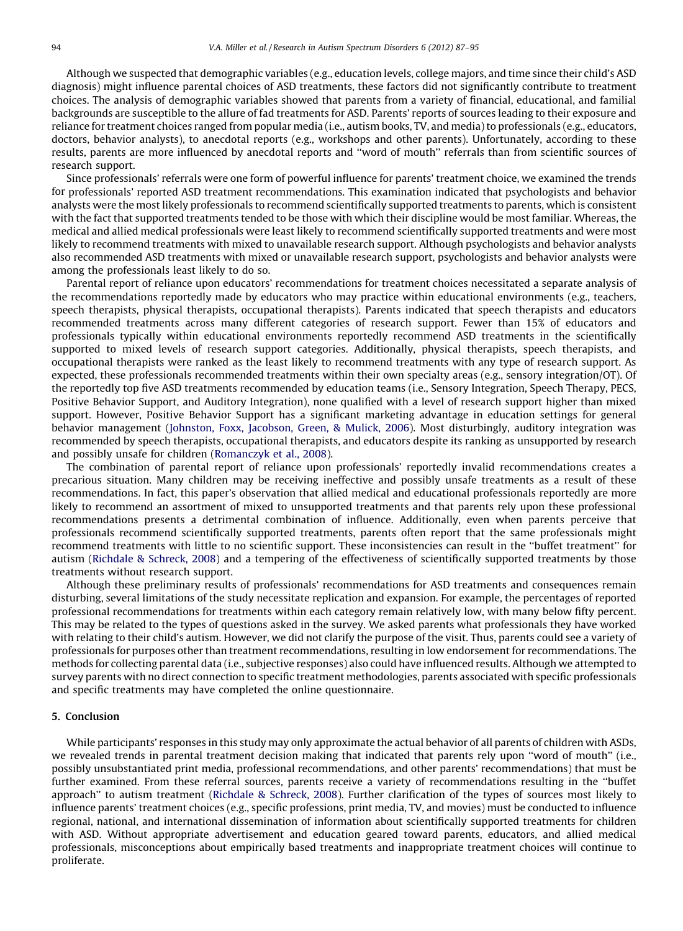Although we suspected that demographic variables (e.g., education levels, college majors, and time since their child's ASD diagnosis) might influence parental choices of ASD treatments, these factors did not significantly contribute to treatment choices. The analysis of demographic variables showed that parents from a variety of financial, educational, and familial backgrounds are susceptible to the allure of fad treatments for ASD. Parents' reports of sources leading to their exposure and reliance for treatment choices ranged from popular media (i.e., autism books, TV, and media)to professionals (e.g., educators, doctors, behavior analysts), to anecdotal reports (e.g., workshops and other parents). Unfortunately, according to these results, parents are more influenced by anecdotal reports and ''word of mouth'' referrals than from scientific sources of research support.

Since professionals' referrals were one form of powerful influence for parents' treatment choice, we examined the trends for professionals' reported ASD treatment recommendations. This examination indicated that psychologists and behavior analysts were the most likely professionals to recommend scientifically supported treatments to parents, which is consistent with the fact that supported treatments tended to be those with which their discipline would be most familiar. Whereas, the medical and allied medical professionals were least likely to recommend scientifically supported treatments and were most likely to recommend treatments with mixed to unavailable research support. Although psychologists and behavior analysts also recommended ASD treatments with mixed or unavailable research support, psychologists and behavior analysts were among the professionals least likely to do so.

Parental report of reliance upon educators' recommendations for treatment choices necessitated a separate analysis of the recommendations reportedly made by educators who may practice within educational environments (e.g., teachers, speech therapists, physical therapists, occupational therapists). Parents indicated that speech therapists and educators recommended treatments across many different categories of research support. Fewer than 15% of educators and professionals typically within educational environments reportedly recommend ASD treatments in the scientifically supported to mixed levels of research support categories. Additionally, physical therapists, speech therapists, and occupational therapists were ranked as the least likely to recommend treatments with any type of research support. As expected, these professionals recommended treatments within their own specialty areas (e.g., sensory integration/OT). Of the reportedly top five ASD treatments recommended by education teams (i.e., Sensory Integration, Speech Therapy, PECS, Positive Behavior Support, and Auditory Integration), none qualified with a level of research support higher than mixed support. However, Positive Behavior Support has a significant marketing advantage in education settings for general behavior management [\(Johnston,](#page-8-0) Foxx, Jacobson, Green, & Mulick, 2006). Most disturbingly, auditory integration was recommended by speech therapists, occupational therapists, and educators despite its ranking as unsupported by research and possibly unsafe for children [\(Romanczyk](#page-8-0) et al., 2008).

The combination of parental report of reliance upon professionals' reportedly invalid recommendations creates a precarious situation. Many children may be receiving ineffective and possibly unsafe treatments as a result of these recommendations. In fact, this paper's observation that allied medical and educational professionals reportedly are more likely to recommend an assortment of mixed to unsupported treatments and that parents rely upon these professional recommendations presents a detrimental combination of influence. Additionally, even when parents perceive that professionals recommend scientifically supported treatments, parents often report that the same professionals might recommend treatments with little to no scientific support. These inconsistencies can result in the ''buffet treatment'' for autism ([Richdale](#page-8-0) & Schreck, 2008) and a tempering of the effectiveness of scientifically supported treatments by those treatments without research support.

Although these preliminary results of professionals' recommendations for ASD treatments and consequences remain disturbing, several limitations of the study necessitate replication and expansion. For example, the percentages of reported professional recommendations for treatments within each category remain relatively low, with many below fifty percent. This may be related to the types of questions asked in the survey. We asked parents what professionals they have worked with relating to their child's autism. However, we did not clarify the purpose of the visit. Thus, parents could see a variety of professionals for purposes other than treatment recommendations, resulting in low endorsement for recommendations. The methods for collecting parental data (i.e., subjective responses) also could have influenced results. Although we attempted to survey parents with no direct connection to specific treatment methodologies, parents associated with specific professionals and specific treatments may have completed the online questionnaire.

#### 5. Conclusion

While participants' responses in this study may only approximate the actual behavior of all parents of children with ASDs, we revealed trends in parental treatment decision making that indicated that parents rely upon ''word of mouth'' (i.e., possibly unsubstantiated print media, professional recommendations, and other parents' recommendations) that must be further examined. From these referral sources, parents receive a variety of recommendations resulting in the ''buffet approach'' to autism treatment ([Richdale](#page-8-0) & Schreck, 2008). Further clarification of the types of sources most likely to influence parents' treatment choices (e.g., specific professions, print media, TV, and movies) must be conducted to influence regional, national, and international dissemination of information about scientifically supported treatments for children with ASD. Without appropriate advertisement and education geared toward parents, educators, and allied medical professionals, misconceptions about empirically based treatments and inappropriate treatment choices will continue to proliferate.